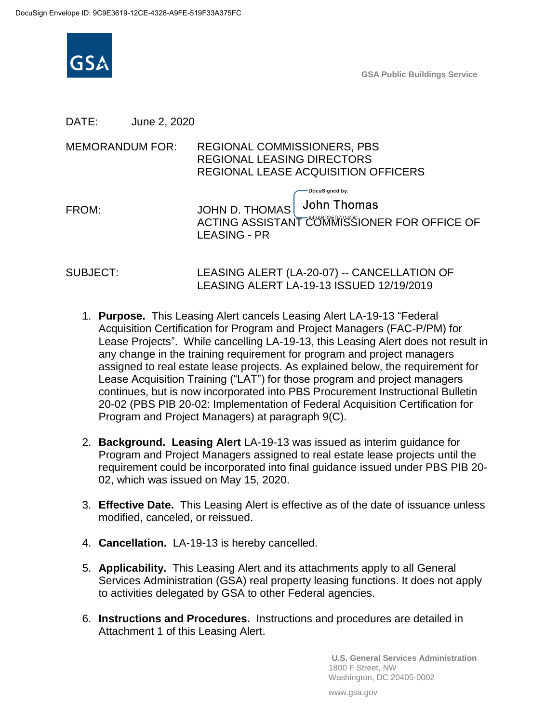

**GSA Public Buildings Service**

DATE: June 2, 2020

MEMORANDUM FOR: REGIONAL COMMISSIONERS, PBS REGIONAL LEASING DIRECTORS REGIONAL LEASE ACQUISITION OFFICERS

|       | — DocuSigned by:                                                                          |
|-------|-------------------------------------------------------------------------------------------|
| FROM: | JOHN D. THOMAS John Thomas<br>ACTING ASSISTANT COMMISSIONER FOR OFFICE OF<br>LEASING - PR |
|       |                                                                                           |

SUBJECT: LEASING ALERT (LA-20-07) -- CANCELLATION OF LEASING ALERT LA-19-13 ISSUED 12/19/2019

- 1. **Purpose.** This Leasing Alert cancels Leasing Alert LA-19-13 "Federal Acquisition Certification for Program and Project Managers (FAC-P/PM) for Lease Projects". While cancelling LA-19-13, this Leasing Alert does not result in any change in the training requirement for program and project managers assigned to real estate lease projects. As explained below, the requirement for Lease Acquisition Training ("LAT") for those program and project managers continues, but is now incorporated into PBS Procurement Instructional Bulletin 20-02 (PBS PIB 20-02: Implementation of Federal Acquisition Certification for Program and Project Managers) at paragraph 9(C).
- 2. **Background. Leasing Alert** LA-19-13 was issued as interim guidance for Program and Project Managers assigned to real estate lease projects until the requirement could be incorporated into final guidance issued under PBS PIB 20- 02, which was issued on May 15, 2020.
- 3. **Effective Date.** This Leasing Alert is effective as of the date of issuance unless modified, canceled, or reissued.
- 4. **Cancellation.** LA-19-13 is hereby cancelled.
- 5. **Applicability.** This Leasing Alert and its attachments apply to all General Services Administration (GSA) real property leasing functions. It does not apply to activities delegated by GSA to other Federal agencies.
- 6. **Instructions and Procedures.** Instructions and procedures are detailed in Attachment 1 of this Leasing Alert.

**U.S. General Services Administration** 1800 F Street, NW Washington, DC 20405-0002

www.gsa.gov